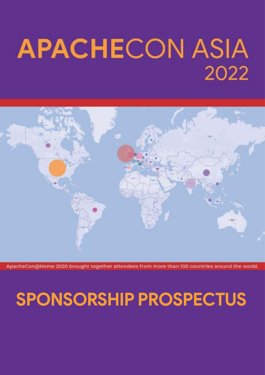# **APACHECON ASIA** 2022



ne 2020 brought together attendees from more than 100 countries around the world

### SPONSORSHIP PROSPECTUS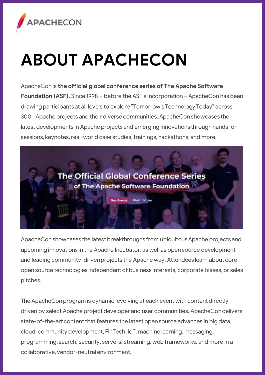

## **ABOUT APACHECON**

ApacheCon is **the official global conference series of The Apache Software Foundation (ASF).** Since 1998 – before the ASF's incorporation – ApacheCon has been drawing participants at all levels to explore "Tomorrow's Technology Today" across 300+ Apache projects and their diverse communities. ApacheCon showcases the latest developments in Apache projects and emerging innovations through hands-on sessions, keynotes, real-world case studies, trainings, hackathons, and more.



ApacheCon showcases the latest breakthroughs from ubiquitous Apache projects and upcoming innovations in the Apache Incubator, as well as open source development and leading community-driven projects the Apache way. Attendees learn about core open source technologies independent of business interests, corporate biases, or sales pitches.

The ApacheCon program is dynamic, evolving at each event with content directly driven by select Apache project developer and user communities. ApacheCondelivers state-of-the-art content that features the latest open source advances in big data, cloud, community development, FinTech, IoT, machine learning, messaging, programming, search, security, servers, streaming, web frameworks, and more in a collaborative, vendor-neutral environment.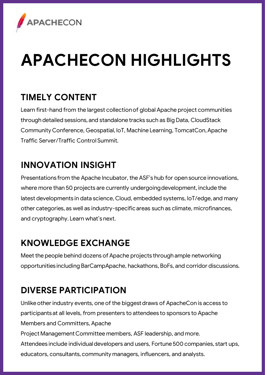

## **APACHECON HIGHLIGHTS**

#### **TIMELY CONTENT**

Learn first-hand from the largest collection of global Apache project communities through detailed sessions, and standalone tracks such as Big Data, CloudStack Community Conference, Geospatial, IoT, Machine Learning, TomcatCon, Apache Traffic Server/Traffic Control Summit.

#### **INNOVATION INSIGHT**

Presentations from the Apache Incubator, the ASF's hub for open source innovations, where more than 50 projects are currently undergoing development, include the latest developments in data science, Cloud, embedded systems, IoT/edge, and many other categories, as well as industry-specific areas such as climate, microfinances, and cryptography. Learn what's next.

#### **KNOWLEDGE EXCHANGE**

Meet the people behind dozens of Apache projects through ample networking opportunities including BarCampApache, hackathons, BoFs, and corridor discussions.

#### **DIVERSE PARTICIPATION**

Unlike other industry events, one of the biggest draws of ApacheCon is access to participants at all levels, from presenters to attendees to sponsors to Apache Members and Committers, Apache Project Management Committee members, ASF leadership, and more. Attendees include individual developers and users, Fortune 500 companies, start ups, educators, consultants, community managers, influencers, and analysts.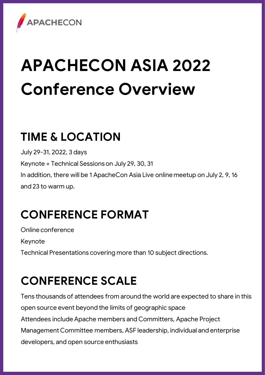

# **APACHECON ASIA 2022 Conference Overview**

### **TIME & LOCATION**

July 29-31, 2022, 3 days Keynote + Technical Sessions on July 29, 30, 31 In addition, there will be 1 ApacheCon Asia Live online meetup on July 2, 9, 16 and 23 to warm up.

### **CONFERENCE FORMAT**

Online conference

Keynote

Technical Presentations covering more than 10 subject directions.

### **CONFERENCE SCALE**

Tens thousands of attendees from around the world are expected to share in this open source event beyond the limits of geographic space Attendees include Apache members and Committers, Apache Project Management Committee members, ASF leadership, individual and enterprise developers, and open source enthusiasts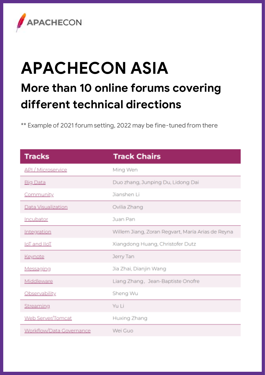

### **APACHECON ASIA More than 10 online forums covering different technical directions**

\*\* Example of 2021 forum setting, 2022 may be fine-tuned from there

| <b>Tracks</b>            | <b>Track Chairs</b>                               |
|--------------------------|---------------------------------------------------|
| API / Microservice       | Mina Wen                                          |
| <b>Big Data</b>          | Duo zhang, Junping Du, Lidong Dai                 |
| Community                | Jianshen Li                                       |
| Data Visualization       | Ovilia Zhang                                      |
| Incubator                | <b>Juan Pan</b>                                   |
| Integration              | Willem Jiang, Zoran Regvart, María Arias de Reyna |
| IoT and IIoT             | Xiangdong Huang, Christofer Dutz                  |
| Keynote                  | Jerry Tan                                         |
| Messaging                | Jia Zhai, Dianiin Wang                            |
| Middleware               | Liang Zhang, Jean-Baptiste Onofre                 |
| Observability            | Sheng Wu                                          |
| Streaming                | Yu Li                                             |
| Web Server/Tomcat        | Huxing Zhang                                      |
| Workflow/Data Governance | Wei Guo                                           |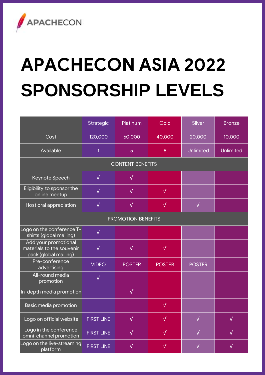

# **APACHECON ASIA 2022 SPONSORSHIP LEVELS**

|                                                                            | Strategic         | Platinum      | Gold          | Silver        | <b>Bronze</b> |  |
|----------------------------------------------------------------------------|-------------------|---------------|---------------|---------------|---------------|--|
| Cost                                                                       | 120,000           | 60.000        | 40,000        | 20,000        | 10,000        |  |
| Available                                                                  | 1                 | 5             | $\mathbf{a}$  | Unlimited     | Unlimited     |  |
| <b>CONTENT BENEFITS</b>                                                    |                   |               |               |               |               |  |
| Keynote Speech                                                             | V                 | V             |               |               |               |  |
| Eligibility to sponsor the<br>online meetup                                | V                 | $\sqrt{ }$    | V             |               |               |  |
| Host oral appreciation                                                     | V                 | $\sqrt{ }$    | V             | $\sqrt{ }$    |               |  |
| <b>PROMOTION BENEFITS</b>                                                  |                   |               |               |               |               |  |
| Logo on the conference T-<br>shirts (global mailing)                       | V                 |               |               |               |               |  |
| Add your promotional<br>materials to the souvenir<br>pack (global mailing) | V                 | $\sqrt{ }$    | V             |               |               |  |
| Pre-conference<br>advertising                                              | VIDEO             | <b>POSTER</b> | <b>POSTER</b> | <b>POSTER</b> |               |  |
| All-round media<br>promotion                                               | $\sqrt{ }$        |               |               |               |               |  |
| In-depth media promotion                                                   |                   | V             |               |               |               |  |
| Basic media promotion                                                      |                   |               | V             |               |               |  |
| Logo on official website                                                   | <b>FIRST LINE</b> | V             | √             | V             | V             |  |
| Logo in the conference<br>omni-channel promotion                           | <b>FIRST LINE</b> | J             | J             | $\sqrt{ }$    | J             |  |
| Logo on the live-streaming<br>platform                                     | <b>FIRST LINE</b> | V             | V             | V             | V             |  |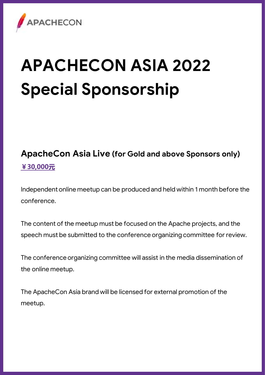

# **APACHECON ASIA 2022 Special Sponsorship**

#### **ApacheCon Asia Live (for Gold and above Sponsors only) ¥30,000元**

Independent online meetup can be produced and held within 1 month before the conference.

The content of the meetup must be focused on the Apache projects, and the speech must be submitted to the conference organizing committee for review.

The conference organizing committee will assist in the media dissemination of the online meetup.

The ApacheCon Asia brand will be licensed for external promotion of the meetup.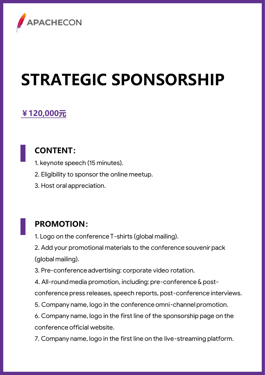

## **STRATEGIC SPONSORSHIP**

#### **¥120,000元**

#### **CONTENT:**

1. keynote speech (15 minutes).

2. Eligibility to sponsor the online meetup.

3. Host oral appreciation.

#### **PROMOTION:**

1. Logo on the conference T-shirts (global mailing).

2. Add your promotional materials to the conference souvenir pack (global mailing).

3. Pre-conference advertising: corporate video rotation.

4. All-round media promotion, including: pre-conference & post-

conference press releases, speech reports, post-conference interviews.

5. Company name, logo in the conference omni-channel promotion.

6. Company name, logo in the first line of the sponsorship page on the conference official website.

7. Company name, logo in the first line on the live-streaming platform.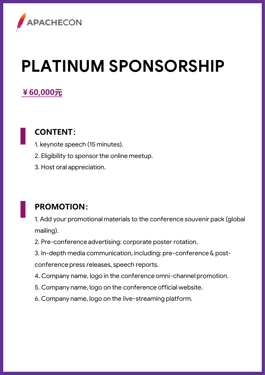

# **PLATINUM SPONSORSHIP**

#### **¥60,000元**

#### **CONTENT:**

- 1. keynote speech (15 minutes).
- 2. Eligibility to sponsor the online meetup.
- 3. Host oral appreciation.

#### **PROMOTION:**

1. Add your promotional materials to the conference souvenir pack (global mailing).

- 2. Pre-conference advertising: corporate poster rotation.
- 3. In-depth media communication, including: pre-conference & post-

conference press releases, speech reports.

- 4. Company name, logo in the conference omni-channel promotion.
- 5. Company name, logo on the conference official website.
- 6. Company name, logo on the live-streaming platform.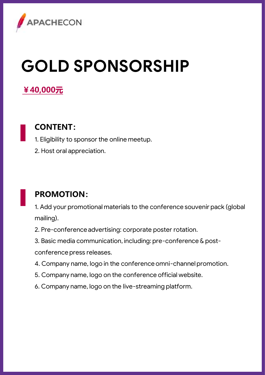

## **GOLD SPONSORSHIP**

#### **¥40,000元**

#### **CONTENT:**

1. Eligibility to sponsor the online meetup.

2. Host oral appreciation.

#### **PROMOTION:**

1. Add your promotional materials to the conference souvenir pack (global mailing).

2. Pre-conference advertising: corporate poster rotation.

3. Basic media communication, including: pre-conference & postconference press releases.

- 4. Company name, logo in the conference omni-channel promotion.
- 5. Company name, logo on the conference official website.
- 6. Company name, logo on the live-streaming platform.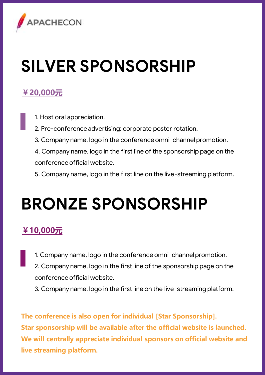

## **SILVER SPONSORSHIP**

#### **¥20,000元**

1. Host oral appreciation.

2. Pre-conference advertising: corporate poster rotation.

3. Company name, logo in the conference omni-channel promotion.

4. Company name, logo in the first line of the sponsorship page on the conference official website.

5. Company name, logo in the first line on the live-streaming platform.

### **BRONZE SPONSORSHIP**

#### **¥10,000元**

1. Company name, logo in the conference omni-channel promotion.

2. Company name, logo in the first line of the sponsorship page on the conference official website.

3. Company name, logo in the first line on the live-streaming platform.

**The conference is also open for individual [Star Sponsorship]. Star sponsorship will be available after the official website is launched. We will centrally appreciate individual sponsors on official website and live streaming platform.**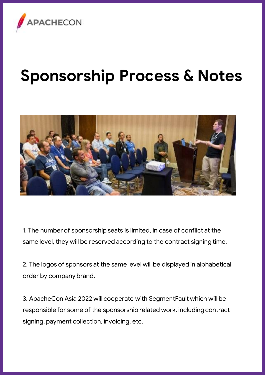

### **Sponsorship Process & Notes**



1. The number of sponsorship seats is limited, in case of conflict at the same level, they will be reserved according to the contract signing time.

2. The logos of sponsors at the same level will be displayed in alphabetical order by company brand.

3. ApacheCon Asia 2022 will cooperate with SegmentFault which will be responsible for some of the sponsorship related work, including contract signing, payment collection, invoicing, etc.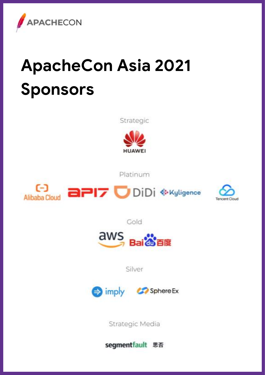

# **ApacheCon Asia 2021 Sponsors**

Strategic



Platinum



**aPI7** DiDi <sup>& Kyligence</sup>



Cold



Silver



Strategic Media

segmentfault 思否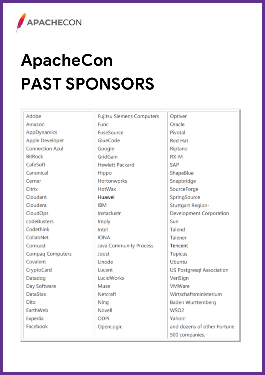

# **ApacheCon PAST SPONSORS**

| Adobe                   | <b>Fujitsu Siemens Computers</b> | Optiver                |
|-------------------------|----------------------------------|------------------------|
| Amazon                  | <b>Func</b>                      | Oracle                 |
| AppDynamics             | <b>FuseSource</b>                | Pivotal                |
| Apple Developer         | GlueCode                         | <b>Red Hat</b>         |
| Connection Azul         | Google                           | Riptano                |
| <b>BitRock</b>          | GridGain                         | RX-M                   |
| CafeSoft                | <b>Hewlett Packard</b>           | SAP                    |
| Canonical               | Hippo                            | ShapeBlue              |
| Cerner                  | <b>Hortonworks</b>               | Snapbridge             |
| Citrix                  | <b>HotWax</b>                    | SourceForge            |
| Cloudant                | Huawei                           | SpringSource           |
| Cloudera                | <b>IBM</b>                       | <b>Stuttgart Regio</b> |
| <b>CloudOps</b>         | Instaclustr                      | Development C          |
| codeBusters             | Imply                            | Sun                    |
| Codethink               | Intel                            | Talend                 |
| CollabNet               | <b>IONA</b>                      | Talener                |
| Comcast                 | Java Community Process           | Tencent                |
| <b>Compag Computers</b> | Joost                            | <b>Topicus</b>         |
| Covalent                | Linode                           | Ubuntu                 |
| CryptoCard              | Lucent                           | US Postaresal A        |
| Datadog                 | LucidWorks                       | VeriSign               |
| Day Software            | Muse                             | VMWare                 |
| DataStax                | Netcraft                         | Wirtschaftsmini        |
| Dito                    | Ning                             | <b>Baden Wurttem</b>   |
| EarthWeb                | Novell                           | WSO <sub>2</sub>       |
| Expedia                 | ODPi                             | Yahoo!                 |
| Facebook                | OpenLogic                        | and dozens of o        |
|                         |                                  | 500 companies.         |

ė e -noips nt Corporation sql Association ministerium ttemberg of other Fortune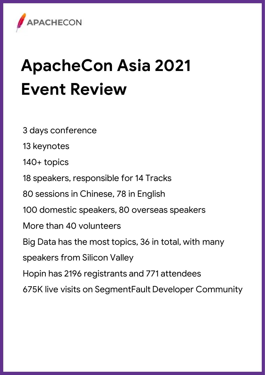

# **ApacheCon Asia 2021 Event Review**

3 days conference 13 keynotes 140+ topics 18 speakers, responsible for 14 Tracks 80 sessions in Chinese, 78 in English 100 domestic speakers, 80 overseas speakers More than 40 volunteers Big Data has the most topics, 36 in total, with many speakers from Silicon Valley Hopin has 2196 registrants and 771 attendees 675K live visits on SegmentFault Developer Community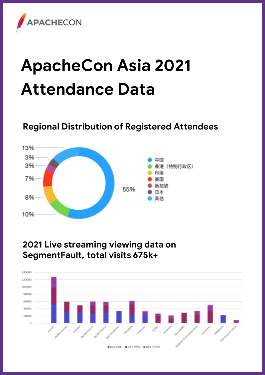

## **ApacheCon Asia 2021 Attendance Data**

#### **Regional Distribution of Registered Attendees**



#### **2021 Live streaming viewing data on SegmentFault, total visits 675k+**

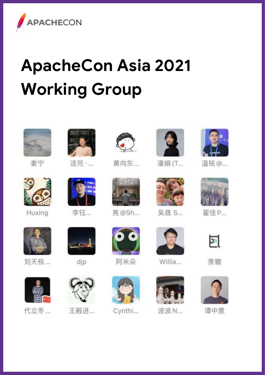

# **ApacheCon Asia 2021 Working Group**



美中



Huxing



适兕 ·...



李钰…



黄向东...



亮@Sh...





Cynthi...



潘娟 (T...



吴晟 S...



Willia...



波波 N



温铭 @...



翟佳P...



羡辙



谭中意



刘天栋...

代立冬 ...



王殿进...

阿米朵